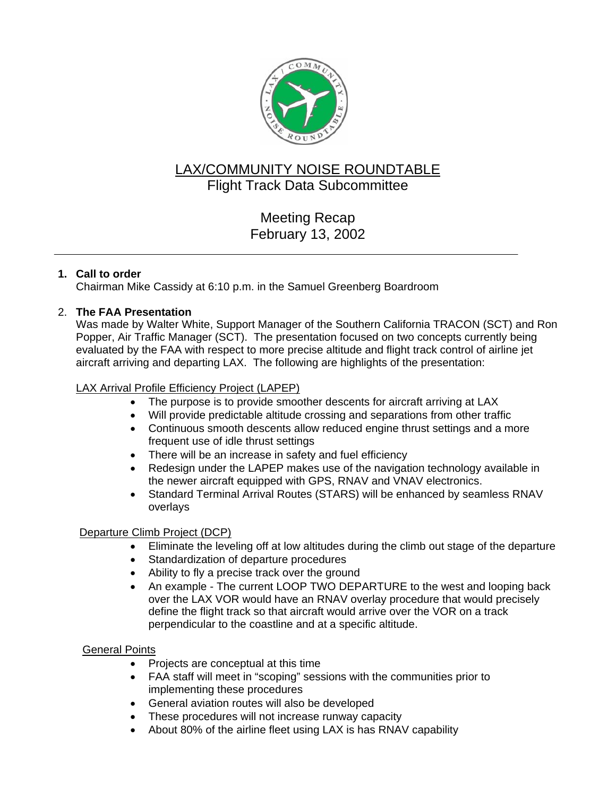

# LAX/COMMUNITY NOISE ROUNDTABLE Flight Track Data Subcommittee

# Meeting Recap February 13, 2002

## **1. Call to order**

Chairman Mike Cassidy at 6:10 p.m. in the Samuel Greenberg Boardroom

## 2. **The FAA Presentation**

Was made by Walter White, Support Manager of the Southern California TRACON (SCT) and Ron Popper, Air Traffic Manager (SCT). The presentation focused on two concepts currently being evaluated by the FAA with respect to more precise altitude and flight track control of airline jet aircraft arriving and departing LAX. The following are highlights of the presentation:

### LAX Arrival Profile Efficiency Project (LAPEP)

- The purpose is to provide smoother descents for aircraft arriving at LAX
- Will provide predictable altitude crossing and separations from other traffic
- Continuous smooth descents allow reduced engine thrust settings and a more frequent use of idle thrust settings
- There will be an increase in safety and fuel efficiency
- Redesign under the LAPEP makes use of the navigation technology available in the newer aircraft equipped with GPS, RNAV and VNAV electronics.
- Standard Terminal Arrival Routes (STARS) will be enhanced by seamless RNAV overlays

### Departure Climb Project (DCP)

- Eliminate the leveling off at low altitudes during the climb out stage of the departure
- Standardization of departure procedures
- Ability to fly a precise track over the ground
- An example The current LOOP TWO DEPARTURE to the west and looping back over the LAX VOR would have an RNAV overlay procedure that would precisely define the flight track so that aircraft would arrive over the VOR on a track perpendicular to the coastline and at a specific altitude.

### General Points

- Projects are conceptual at this time
- FAA staff will meet in "scoping" sessions with the communities prior to implementing these procedures
- General aviation routes will also be developed
- These procedures will not increase runway capacity
- About 80% of the airline fleet using LAX is has RNAV capability